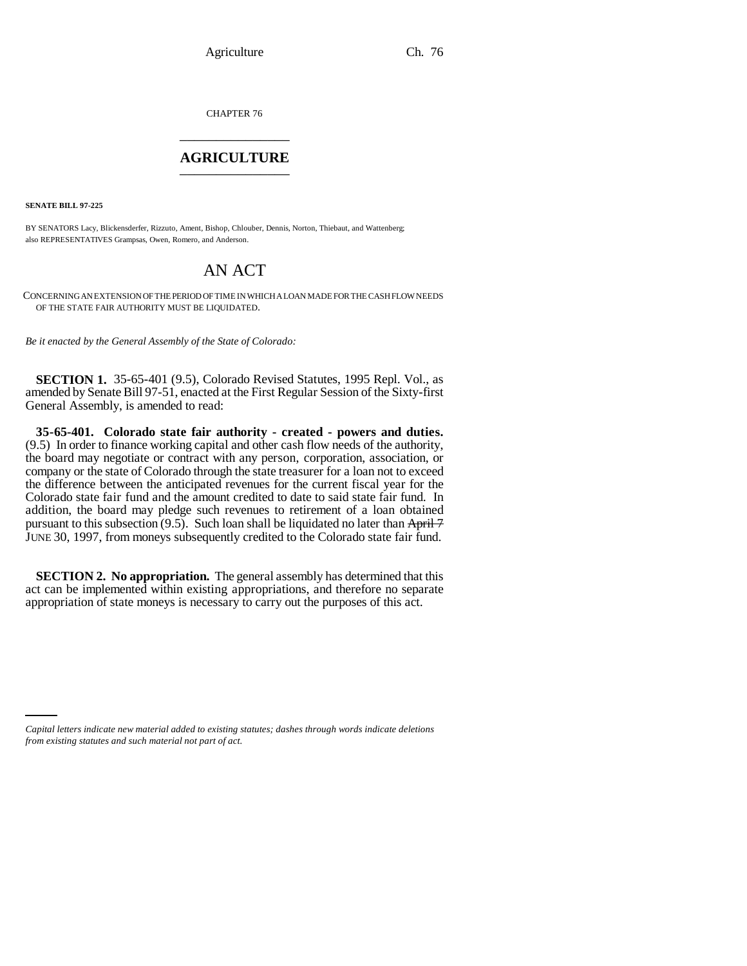CHAPTER 76 \_\_\_\_\_\_\_\_\_\_\_\_\_\_\_

## **AGRICULTURE** \_\_\_\_\_\_\_\_\_\_\_\_\_\_\_

**SENATE BILL 97-225**

BY SENATORS Lacy, Blickensderfer, Rizzuto, Ament, Bishop, Chlouber, Dennis, Norton, Thiebaut, and Wattenberg; also REPRESENTATIVES Grampsas, Owen, Romero, and Anderson.

## AN ACT

CONCERNING AN EXTENSION OF THE PERIOD OF TIME IN WHICH A LOAN MADE FOR THE CASH FLOW NEEDS OF THE STATE FAIR AUTHORITY MUST BE LIQUIDATED.

*Be it enacted by the General Assembly of the State of Colorado:*

**SECTION 1.** 35-65-401 (9.5), Colorado Revised Statutes, 1995 Repl. Vol., as amended by Senate Bill 97-51, enacted at the First Regular Session of the Sixty-first General Assembly, is amended to read:

**35-65-401. Colorado state fair authority - created - powers and duties.** (9.5) In order to finance working capital and other cash flow needs of the authority, the board may negotiate or contract with any person, corporation, association, or company or the state of Colorado through the state treasurer for a loan not to exceed the difference between the anticipated revenues for the current fiscal year for the Colorado state fair fund and the amount credited to date to said state fair fund. In addition, the board may pledge such revenues to retirement of a loan obtained pursuant to this subsection  $(9.5)$ . Such loan shall be liquidated no later than April 7 JUNE 30, 1997, from moneys subsequently credited to the Colorado state fair fund.

**SECTION 2. No appropriation.** The general assembly has determined that this act can be implemented within existing appropriations, and therefore no separate appropriation of state moneys is necessary to carry out the purposes of this act.

*Capital letters indicate new material added to existing statutes; dashes through words indicate deletions from existing statutes and such material not part of act.*